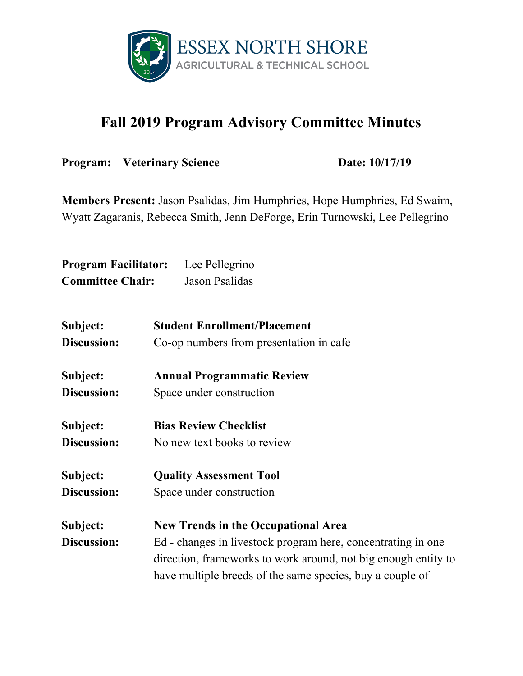

## **Fall 2019 Program Advisory Committee Minutes**

**Program:** Veterinary Science **Date:** 10/17/19

**Members Present:** Jason Psalidas, Jim Humphries, Hope Humphries, Ed Swaim, Wyatt Zagaranis, Rebecca Smith, Jenn DeForge, Erin Turnowski, Lee Pellegrino

| <b>Program Facilitator:</b> | Lee Pellegrino |
|-----------------------------|----------------|
| <b>Committee Chair:</b>     | Jason Psalidas |

| Subject:    | <b>Student Enrollment/Placement</b>                            |
|-------------|----------------------------------------------------------------|
| Discussion: | Co-op numbers from presentation in cafe                        |
| Subject:    | <b>Annual Programmatic Review</b>                              |
| Discussion: | Space under construction                                       |
| Subject:    | <b>Bias Review Checklist</b>                                   |
| Discussion: | No new text books to review                                    |
| Subject:    | <b>Quality Assessment Tool</b>                                 |
| Discussion: | Space under construction                                       |
| Subject:    | <b>New Trends in the Occupational Area</b>                     |
| Discussion: | Ed - changes in livestock program here, concentrating in one   |
|             | direction, frameworks to work around, not big enough entity to |
|             | have multiple breeds of the same species, buy a couple of      |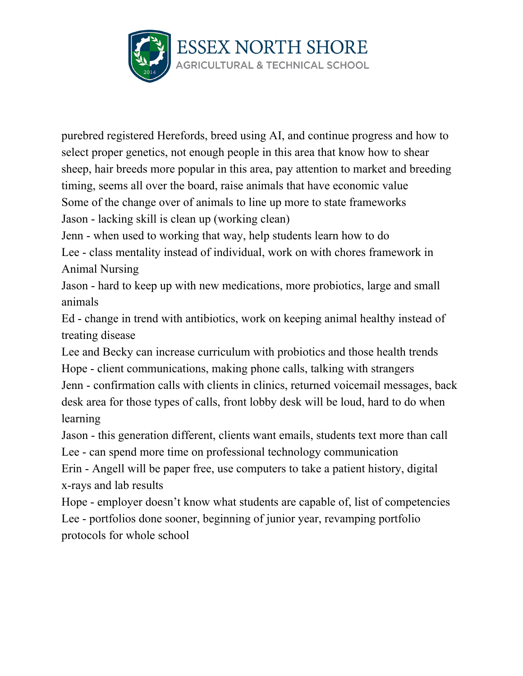

purebred registered Herefords, breed using AI, and continue progress and how to select proper genetics, not enough people in this area that know how to shear sheep, hair breeds more popular in this area, pay attention to market and breeding timing, seems all over the board, raise animals that have economic value Some of the change over of animals to line up more to state frameworks Jason - lacking skill is clean up (working clean)

Jenn - when used to working that way, help students learn how to do Lee - class mentality instead of individual, work on with chores framework in

Animal Nursing

Jason - hard to keep up with new medications, more probiotics, large and small animals

Ed - change in trend with antibiotics, work on keeping animal healthy instead of treating disease

Lee and Becky can increase curriculum with probiotics and those health trends Hope - client communications, making phone calls, talking with strangers Jenn - confirmation calls with clients in clinics, returned voicemail messages, back desk area for those types of calls, front lobby desk will be loud, hard to do when learning

Jason - this generation different, clients want emails, students text more than call Lee - can spend more time on professional technology communication Erin - Angell will be paper free, use computers to take a patient history, digital x-rays and lab results

Hope - employer doesn't know what students are capable of, list of competencies Lee - portfolios done sooner, beginning of junior year, revamping portfolio protocols for whole school